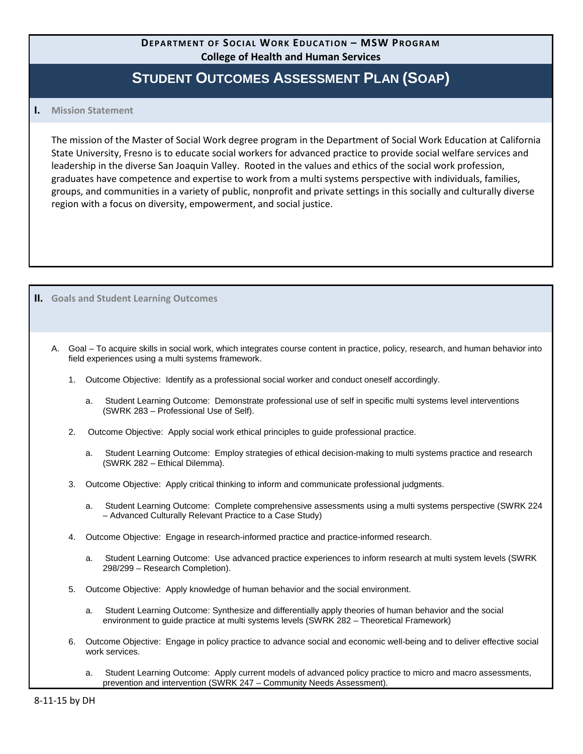# **DEPARTMENT OF SOCIAL WORK EDUCATION – MSW PROGRAM College of Health and Human Services**

# **STUDENT OUTCOMES ASSESSMENT PLAN (SOAP)**

#### **I. Mission Statement**

**II. Goals and Student Learning Outcomes**

The mission of the Master of Social Work degree program in the Department of Social Work Education at California State University, Fresno is to educate social workers for advanced practice to provide social welfare services and leadership in the diverse San Joaquin Valley. Rooted in the values and ethics of the social work profession, graduates have competence and expertise to work from a multi systems perspective with individuals, families, groups, and communities in a variety of public, nonprofit and private settings in this socially and culturally diverse region with a focus on diversity, empowerment, and social justice.

A. Goal – To acquire skills in social work, which integrates course content in practice, policy, research, and human behavior into field experiences using a multi systems framework.

- 1. Outcome Objective: Identify as a professional social worker and conduct oneself accordingly.
	- a. Student Learning Outcome: Demonstrate professional use of self in specific multi systems level interventions (SWRK 283 – Professional Use of Self).
- 2. Outcome Objective: Apply social work ethical principles to guide professional practice.
	- a. Student Learning Outcome: Employ strategies of ethical decision-making to multi systems practice and research (SWRK 282 – Ethical Dilemma).
- 3. Outcome Objective: Apply critical thinking to inform and communicate professional judgments.
	- a. Student Learning Outcome: Complete comprehensive assessments using a multi systems perspective (SWRK 224 – Advanced Culturally Relevant Practice to a Case Study)
- 4. Outcome Objective: Engage in research-informed practice and practice-informed research.
	- a. Student Learning Outcome: Use advanced practice experiences to inform research at multi system levels (SWRK 298/299 – Research Completion).
- 5. Outcome Objective: Apply knowledge of human behavior and the social environment.
	- a. Student Learning Outcome: Synthesize and differentially apply theories of human behavior and the social environment to guide practice at multi systems levels (SWRK 282 – Theoretical Framework)
- 6. Outcome Objective: Engage in policy practice to advance social and economic well-being and to deliver effective social work services.
	- a. Student Learning Outcome: Apply current models of advanced policy practice to micro and macro assessments, prevention and intervention (SWRK 247 – Community Needs Assessment).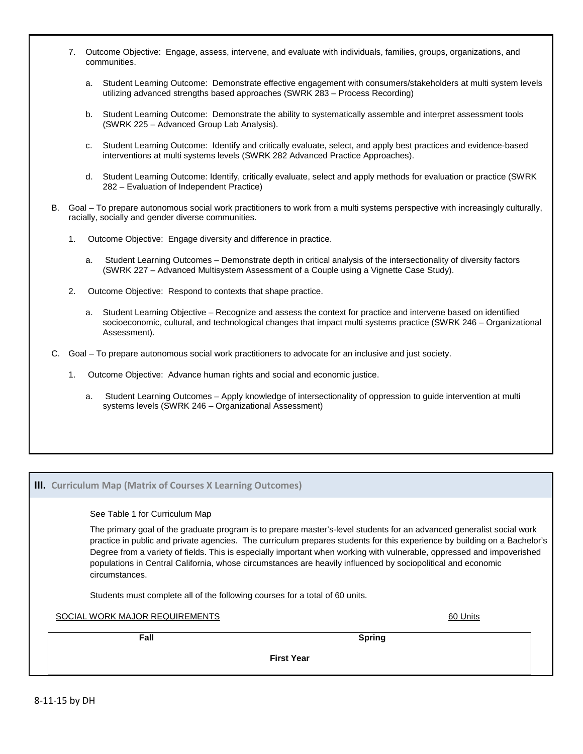- 7. Outcome Objective: Engage, assess, intervene, and evaluate with individuals, families, groups, organizations, and communities.
	- a. Student Learning Outcome: Demonstrate effective engagement with consumers/stakeholders at multi system levels utilizing advanced strengths based approaches (SWRK 283 – Process Recording)
	- b. Student Learning Outcome: Demonstrate the ability to systematically assemble and interpret assessment tools (SWRK 225 – Advanced Group Lab Analysis).
	- c. Student Learning Outcome: Identify and critically evaluate, select, and apply best practices and evidence-based interventions at multi systems levels (SWRK 282 Advanced Practice Approaches).
	- d. Student Learning Outcome: Identify, critically evaluate, select and apply methods for evaluation or practice (SWRK 282 – Evaluation of Independent Practice)
- B. Goal To prepare autonomous social work practitioners to work from a multi systems perspective with increasingly culturally, racially, socially and gender diverse communities.
	- 1. Outcome Objective: Engage diversity and difference in practice.
		- a. Student Learning Outcomes Demonstrate depth in critical analysis of the intersectionality of diversity factors (SWRK 227 – Advanced Multisystem Assessment of a Couple using a Vignette Case Study).
	- 2. Outcome Objective: Respond to contexts that shape practice.
		- a. Student Learning Objective Recognize and assess the context for practice and intervene based on identified socioeconomic, cultural, and technological changes that impact multi systems practice (SWRK 246 – Organizational Assessment).
- C. Goal To prepare autonomous social work practitioners to advocate for an inclusive and just society.
	- 1. Outcome Objective: Advance human rights and social and economic justice.
		- a. Student Learning Outcomes Apply knowledge of intersectionality of oppression to guide intervention at multi systems levels (SWRK 246 – Organizational Assessment)

#### **III. Curriculum Map (Matrix of Courses X Learning Outcomes)**

See Table 1 for Curriculum Map

The primary goal of the graduate program is to prepare master's-level students for an advanced generalist social work practice in public and private agencies. The curriculum prepares students for this experience by building on a Bachelor's Degree from a variety of fields. This is especially important when working with vulnerable, oppressed and impoverished populations in Central California, whose circumstances are heavily influenced by sociopolitical and economic circumstances.

Students must complete all of the following courses for a total of 60 units.

SOCIAL WORK MAJOR REQUIREMENTS **Example 20 Units** 60 Units

**Fall** Spring Spring (1999) and the set of the set of the Spring Spring Spring (1999) and the Spring

**First Year**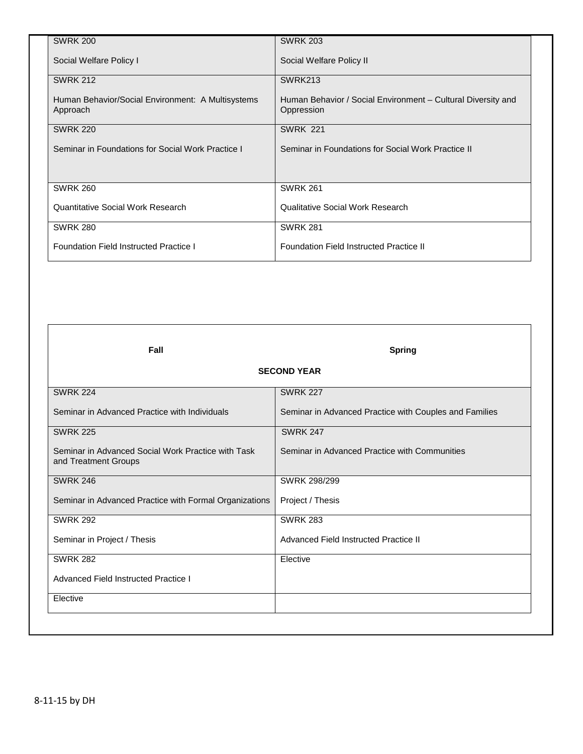| <b>SWRK 200</b>                                               | <b>SWRK 203</b>                                                            |
|---------------------------------------------------------------|----------------------------------------------------------------------------|
| Social Welfare Policy I                                       | Social Welfare Policy II                                                   |
| <b>SWRK 212</b>                                               | SWRK213                                                                    |
| Human Behavior/Social Environment: A Multisystems<br>Approach | Human Behavior / Social Environment - Cultural Diversity and<br>Oppression |
| <b>SWRK 220</b>                                               | <b>SWRK 221</b>                                                            |
| Seminar in Foundations for Social Work Practice I             | Seminar in Foundations for Social Work Practice II                         |
|                                                               |                                                                            |
| <b>SWRK 260</b>                                               | <b>SWRK 261</b>                                                            |
| <b>Quantitative Social Work Research</b>                      | Qualitative Social Work Research                                           |
| <b>SWRK 280</b>                                               | <b>SWRK 281</b>                                                            |
| <b>Foundation Field Instructed Practice I</b>                 | <b>Foundation Field Instructed Practice II</b>                             |

**Fall** Spring and Spring and Spring and Spring and Spring and Spring and Spring and Spring and Spring and Spring

### **SECOND YEAR**

| <b>SWRK 224</b>                                                            | <b>SWRK 227</b>                                        |
|----------------------------------------------------------------------------|--------------------------------------------------------|
| Seminar in Advanced Practice with Individuals                              | Seminar in Advanced Practice with Couples and Families |
| <b>SWRK 225</b>                                                            | <b>SWRK 247</b>                                        |
| Seminar in Advanced Social Work Practice with Task<br>and Treatment Groups | Seminar in Advanced Practice with Communities          |
| <b>SWRK 246</b>                                                            | SWRK 298/299                                           |
| Seminar in Advanced Practice with Formal Organizations                     | Project / Thesis                                       |
| <b>SWRK 292</b>                                                            | <b>SWRK 283</b>                                        |
| Seminar in Project / Thesis                                                | Advanced Field Instructed Practice II                  |
| <b>SWRK 282</b>                                                            | Elective                                               |
| Advanced Field Instructed Practice I                                       |                                                        |
| Elective                                                                   |                                                        |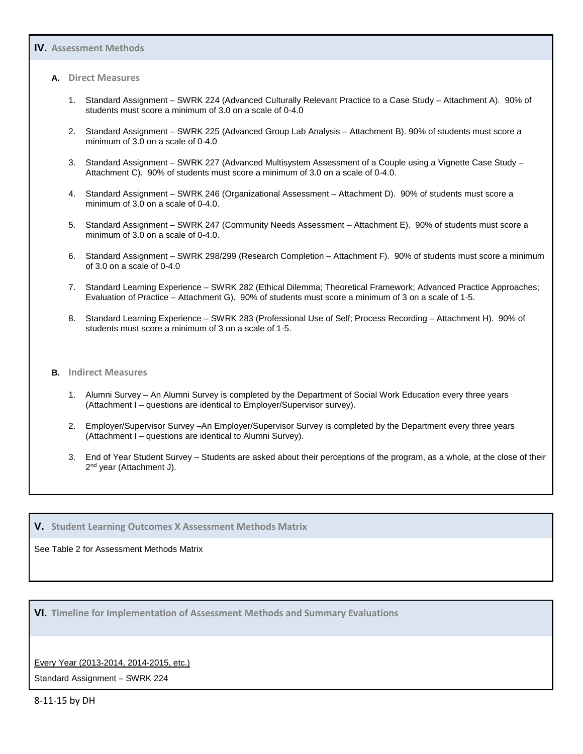#### **IV. Assessment Methods**

#### **A. Direct Measures**

- 1. Standard Assignment SWRK 224 (Advanced Culturally Relevant Practice to a Case Study Attachment A). 90% of students must score a minimum of 3.0 on a scale of 0-4.0
- 2. Standard Assignment SWRK 225 (Advanced Group Lab Analysis Attachment B). 90% of students must score a minimum of 3.0 on a scale of 0-4.0
- 3. Standard Assignment SWRK 227 (Advanced Multisystem Assessment of a Couple using a Vignette Case Study Attachment C). 90% of students must score a minimum of 3.0 on a scale of 0-4.0.
- 4. Standard Assignment SWRK 246 (Organizational Assessment Attachment D). 90% of students must score a minimum of 3.0 on a scale of 0-4.0.
- 5. Standard Assignment SWRK 247 (Community Needs Assessment Attachment E). 90% of students must score a minimum of 3.0 on a scale of 0-4.0.
- 6. Standard Assignment SWRK 298/299 (Research Completion Attachment F). 90% of students must score a minimum of 3.0 on a scale of 0-4.0
- 7. Standard Learning Experience SWRK 282 (Ethical Dilemma; Theoretical Framework; Advanced Practice Approaches; Evaluation of Practice – Attachment G). 90% of students must score a minimum of 3 on a scale of 1-5.
- 8. Standard Learning Experience SWRK 283 (Professional Use of Self; Process Recording Attachment H). 90% of students must score a minimum of 3 on a scale of 1-5.

#### **B. Indirect Measures**

- 1. Alumni Survey An Alumni Survey is completed by the Department of Social Work Education every three years (Attachment I – questions are identical to Employer/Supervisor survey).
- 2. Employer/Supervisor Survey –An Employer/Supervisor Survey is completed by the Department every three years (Attachment I – questions are identical to Alumni Survey).
- 3. End of Year Student Survey Students are asked about their perceptions of the program, as a whole, at the close of their 2<sup>nd</sup> year (Attachment J).

#### **V. Student Learning Outcomes X Assessment Methods Matrix**

#### See Table 2 for Assessment Methods Matrix

**VI. Timeline for Implementation of Assessment Methods and Summary Evaluations**

#### Every Year (2013-2014, 2014-2015, etc.)

Standard Assignment – SWRK 224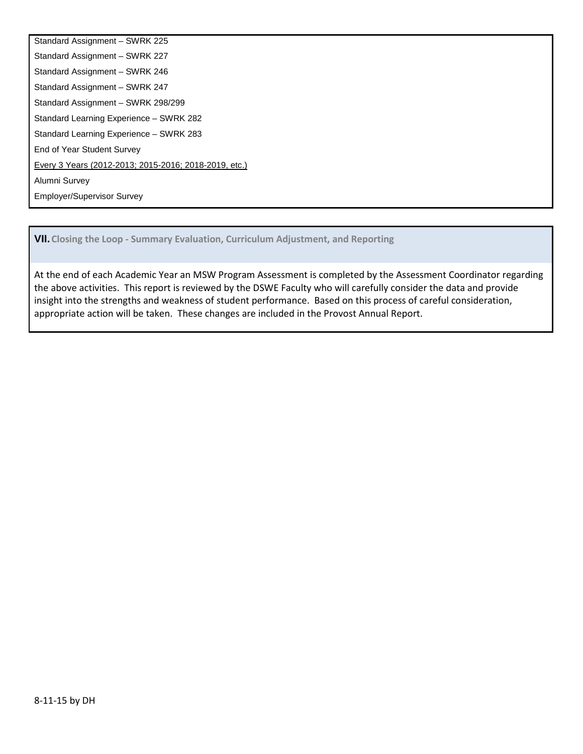Standard Assignment – SWRK 225 Standard Assignment – SWRK 227 Standard Assignment – SWRK 246 Standard Assignment – SWRK 247 Standard Assignment – SWRK 298/299 Standard Learning Experience – SWRK 282 Standard Learning Experience – SWRK 283 End of Year Student Survey Every 3 Years (2012-2013; 2015-2016; 2018-2019, etc.) Alumni Survey Employer/Supervisor Survey

**VII.Closing the Loop - Summary Evaluation, Curriculum Adjustment, and Reporting**

At the end of each Academic Year an MSW Program Assessment is completed by the Assessment Coordinator regarding the above activities. This report is reviewed by the DSWE Faculty who will carefully consider the data and provide insight into the strengths and weakness of student performance. Based on this process of careful consideration, appropriate action will be taken. These changes are included in the Provost Annual Report.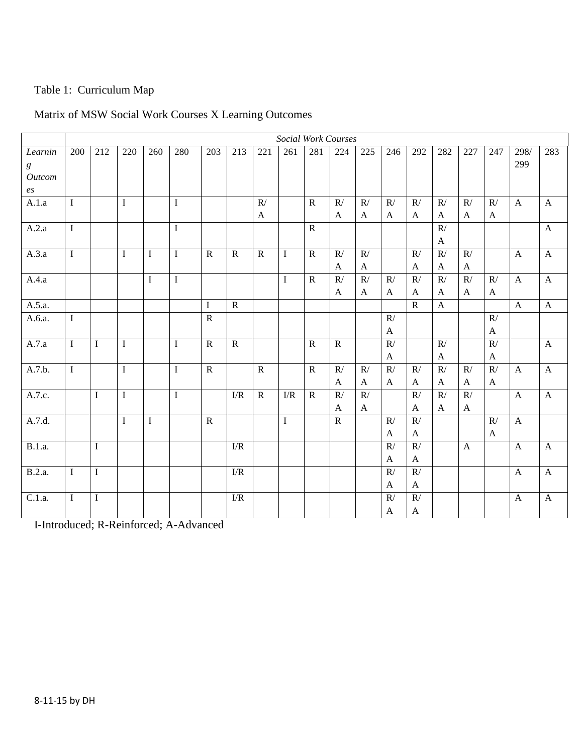# Table 1: Curriculum Map

| Matrix of MSW Social Work Courses X Learning Outcomes |  |
|-------------------------------------------------------|--|
|-------------------------------------------------------|--|

|                  |                |             |             |             |             |                |                |              | <b>Social Work Courses</b> |                |                |              |                       |                           |                       |              |                           |                           |                           |
|------------------|----------------|-------------|-------------|-------------|-------------|----------------|----------------|--------------|----------------------------|----------------|----------------|--------------|-----------------------|---------------------------|-----------------------|--------------|---------------------------|---------------------------|---------------------------|
| Learnin          | 200            | 212         | 220         | 260         | 280         | 203            | 213            | 221          | 261                        | 281            | 224            | 225          | 246                   | 292                       | 282                   | 227          | 247                       | 298/                      | 283                       |
| $\boldsymbol{g}$ |                |             |             |             |             |                |                |              |                            |                |                |              |                       |                           |                       |              |                           | 299                       |                           |
| <b>Outcom</b>    |                |             |             |             |             |                |                |              |                            |                |                |              |                       |                           |                       |              |                           |                           |                           |
| $\mathfrak{e}_S$ |                |             |             |             |             |                |                |              |                            |                |                |              |                       |                           |                       |              |                           |                           |                           |
| A.1.a            | $\mathbf I$    |             | $\mathbf I$ |             | $\mathbf I$ |                |                | R/           |                            | $\mathbf R$    | R/             | R/           | R/                    | R/                        | R/                    | R/           | R/                        | $\boldsymbol{\mathsf{A}}$ | $\mathbf{A}$              |
|                  |                |             |             |             |             |                |                | $\mathbf{A}$ |                            |                | $\mathbf{A}$   | A            | $\mathbf{A}$          | $\mathbf{A}$              | A                     | A            | A                         |                           |                           |
| A.2.a            | $\mathbf{I}$   |             |             |             | $\mathbf I$ |                |                |              |                            | $\overline{R}$ |                |              |                       |                           | R/                    |              |                           |                           | $\boldsymbol{\mathsf{A}}$ |
|                  |                |             |             |             |             |                |                |              |                            |                |                |              |                       |                           | $\mathbf{A}$          |              |                           |                           |                           |
| A.3.a            | $\mathbf I$    |             | $\mathbf I$ | $\mathbf I$ | $\bf I$     | $\mathbf R$    | $\mathbf R$    | $\mathbf R$  | $\bf{I}$                   | $\mathbf R$    | R/             | R/           |                       | R/                        | R/                    | R/           |                           | $\mathbf{A}$              | $\boldsymbol{\mathsf{A}}$ |
|                  |                |             |             |             |             |                |                |              |                            |                | $\mathbf{A}$   | $\mathbf{A}$ |                       | $\boldsymbol{A}$          | $\mathbf{A}$          | $\mathbf{A}$ |                           |                           |                           |
| A.4.a            |                |             |             | $\mathbf I$ | $\bf I$     |                |                |              | $\bf I$                    | $\mathbf R$    | R/             | R/           | R/                    | R/                        | $\mathbb{R}^{\prime}$ | R/           | R/                        | $\boldsymbol{\rm{A}}$     | $\mathbf{A}$              |
|                  |                |             |             |             |             |                |                |              |                            |                | $\mathbf{A}$   | $\mathbf{A}$ | $\mathbf{A}$          | $\mathbf{A}$              | A                     | $\mathbf{A}$ | $\mathbf{A}$              |                           |                           |
| A.5.a.           |                |             |             |             |             | $\bf{I}$       | $\mathbf R$    |              |                            |                |                |              |                       | $\overline{R}$            | $\mathbf{A}$          |              |                           | $\boldsymbol{\rm{A}}$     | $\mathbf{A}$              |
| A.6.a.           | $\overline{I}$ |             |             |             |             | $\overline{R}$ |                |              |                            |                |                |              | R/                    |                           |                       |              | $\overline{R/}$           |                           |                           |
|                  |                |             |             |             |             |                |                |              |                            |                |                |              | A                     |                           |                       |              | A                         |                           |                           |
| A.7.a            | $\mathbf I$    | $\mathbf I$ | $\mathbf I$ |             | $\bf I$     | $\overline{R}$ | $\overline{R}$ |              |                            | $\overline{R}$ | $\overline{R}$ |              | R/                    |                           | R/                    |              | $\overline{R/}$           |                           | $\mathbf{A}$              |
|                  |                |             |             |             |             |                |                |              |                            |                |                |              | A                     |                           | A                     |              | $\mathbf{A}$              |                           |                           |
| A.7.b.           | $\mathbf I$    |             | $\mathbf I$ |             | $\mathbf I$ | $\mathbf R$    |                | $\mathbf R$  |                            | $\mathbf R$    | R/             | R/           | R/                    | R/                        | $\mathbb{R}^{\prime}$ | R/           | $\mathbb{R}^{\prime}$     | $\mathbf{A}$              | $\mathbf{A}$              |
|                  |                |             |             |             |             |                |                |              |                            |                | $\mathbf{A}$   | $\mathbf{A}$ | $\mathbf{A}$          | $\mathbf{A}$              | $\mathbf{A}$          | $\mathbf{A}$ | $\mathbf{A}$              |                           |                           |
| A.7.c.           |                | $\rm I$     | $\rm I$     |             | $\bf I$     |                | ${\rm I/R}$    | $\mathbf R$  | $\ensuremath{\text{I/R}}$  | $\mathbf R$    | R/             | R/           |                       | $\overline{R}$            | R/                    | R/           |                           | $\boldsymbol{\rm{A}}$     | $\boldsymbol{\mathsf{A}}$ |
|                  |                |             |             |             |             |                |                |              |                            |                | $\mathbf{A}$   | $\mathbf{A}$ |                       | $\boldsymbol{\mathsf{A}}$ | $\mathbf{A}$          | $\mathbf{A}$ |                           |                           |                           |
| A.7.d.           |                |             | $\mathbf I$ | $\mathbf I$ |             | $\mathbf R$    |                |              | $\bf{I}$                   |                | $\mathbf R$    |              | R/                    | R/                        |                       |              | R/                        | $\boldsymbol{\rm{A}}$     |                           |
|                  |                |             |             |             |             |                |                |              |                            |                |                |              | $\mathbf{A}$          | $\mathbf{A}$              |                       |              | $\boldsymbol{\mathsf{A}}$ |                           |                           |
| <b>B.1.a.</b>    |                | $\bf I$     |             |             |             |                | ${\rm I/R}$    |              |                            |                |                |              | R/                    | $\mathbb{R}/% \mathbb{R}$ |                       | $\mathbf{A}$ |                           | $\boldsymbol{\rm{A}}$     | $\mathbf{A}$              |
|                  |                |             |             |             |             |                |                |              |                            |                |                |              | $\mathbf{A}$          | $\mathbf{A}$              |                       |              |                           |                           |                           |
| B.2.a.           | $\mathbf I$    | $\bf I$     |             |             |             |                | I/R            |              |                            |                |                |              | R/                    | $\mathbb{R}/% \mathbb{R}$ |                       |              |                           | $\mathbf{A}$              | $\boldsymbol{\mathsf{A}}$ |
|                  |                |             |             |             |             |                |                |              |                            |                |                |              | $\mathbf{A}$          | $\mathbf A$               |                       |              |                           |                           |                           |
| C.1.a.           | $\mathbf I$    | $\bf I$     |             |             |             |                | ${\rm I/R}$    |              |                            |                |                |              | $\mathbb{R}^{\prime}$ | $\mathbb{R}/% \mathbb{R}$ |                       |              |                           | $\mathbf{A}$              | $\boldsymbol{A}$          |
|                  |                |             |             |             |             |                |                |              |                            |                |                |              | $\mathbf{A}$          | $\mathbf{A}$              |                       |              |                           |                           |                           |

I-Introduced; R-Reinforced; A-Advanced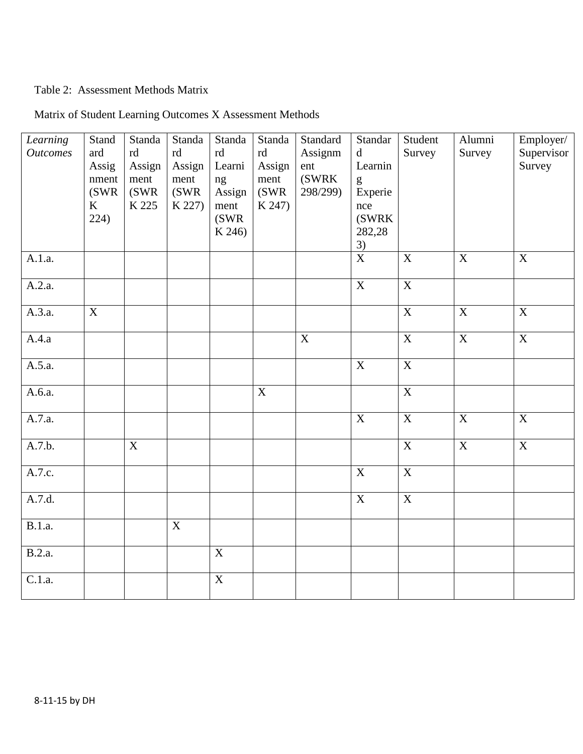# Table 2: Assessment Methods Matrix

| Learning<br><b>Outcomes</b> | Stand<br>ard<br>Assig<br>nment<br>(SWR)<br>K<br>224) | Standa<br>rd<br>Assign<br>ment<br>(SWR<br>K 225 | Standa<br>rd<br>Assign<br>ment<br>(SWR)<br>K 227) | Standa<br>rd<br>Learni<br>ng<br>Assign<br>ment<br>(SWR)<br>K 246) | Standa<br>rd<br>Assign<br>ment<br>(SWR<br>K 247) | Standard<br>Assignm<br>ent<br>(SWRK<br>298/299) | Standar<br>$\mathbf d$<br>Learnin<br>g<br>Experie<br>nce<br>(SWRK<br>282,28 | Student<br>Survey       | Alumni<br>Survey | Employer/<br>Supervisor<br>Survey |
|-----------------------------|------------------------------------------------------|-------------------------------------------------|---------------------------------------------------|-------------------------------------------------------------------|--------------------------------------------------|-------------------------------------------------|-----------------------------------------------------------------------------|-------------------------|------------------|-----------------------------------|
| A.1.a.                      |                                                      |                                                 |                                                   |                                                                   |                                                  |                                                 | $\frac{3}{x}$                                                               | $\mathbf X$             | $\overline{X}$   | X                                 |
| A.2.a.                      |                                                      |                                                 |                                                   |                                                                   |                                                  |                                                 | $\overline{X}$                                                              | $\overline{\mathbf{X}}$ |                  |                                   |
| A.3.a.                      | $\overline{X}$                                       |                                                 |                                                   |                                                                   |                                                  |                                                 |                                                                             | $\overline{X}$          | $\overline{X}$   | $\overline{X}$                    |
| A.4.a                       |                                                      |                                                 |                                                   |                                                                   |                                                  | $\overline{X}$                                  |                                                                             | $\overline{X}$          | $\overline{X}$   | $\overline{X}$                    |
| A.5.a.                      |                                                      |                                                 |                                                   |                                                                   |                                                  |                                                 | $\mathbf X$                                                                 | $\overline{X}$          |                  |                                   |
| A.6.a.                      |                                                      |                                                 |                                                   |                                                                   | $\overline{X}$                                   |                                                 |                                                                             | $\overline{X}$          |                  |                                   |
| A.7.a.                      |                                                      |                                                 |                                                   |                                                                   |                                                  |                                                 | $\overline{X}$                                                              | $\overline{\mathbf{X}}$ | $\overline{X}$   | $\overline{X}$                    |
| A.7.b.                      |                                                      | $\mathbf X$                                     |                                                   |                                                                   |                                                  |                                                 |                                                                             | $\mathbf X$             | $\overline{X}$   | $\mathbf X$                       |
| A.7.c.                      |                                                      |                                                 |                                                   |                                                                   |                                                  |                                                 | $\overline{X}$                                                              | $\overline{X}$          |                  |                                   |
| A.7.d.                      |                                                      |                                                 |                                                   |                                                                   |                                                  |                                                 | $\overline{X}$                                                              | $\overline{X}$          |                  |                                   |
| <b>B.1.a.</b>               |                                                      |                                                 | $\mathbf X$                                       |                                                                   |                                                  |                                                 |                                                                             |                         |                  |                                   |
| <b>B.2.a.</b>               |                                                      |                                                 |                                                   | $\overline{X}$                                                    |                                                  |                                                 |                                                                             |                         |                  |                                   |
| C.1.a.                      |                                                      |                                                 |                                                   | $\overline{X}$                                                    |                                                  |                                                 |                                                                             |                         |                  |                                   |

# Matrix of Student Learning Outcomes X Assessment Methods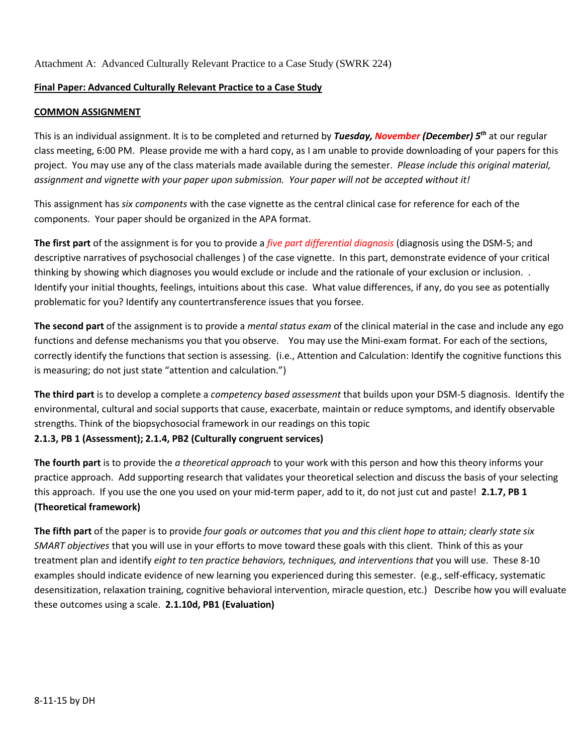Attachment A: Advanced Culturally Relevant Practice to a Case Study (SWRK 224)

### **Final Paper: Advanced Culturally Relevant Practice to a Case Study**

#### **COMMON ASSIGNMENT**

This is an individual assignment. It is to be completed and returned by *Tuesday, November (December) 5th* at our regular class meeting, 6:00 PM. Please provide me with a hard copy, as I am unable to provide downloading of your papers for this project. You may use any of the class materials made available during the semester. *Please include this original material, assignment and vignette with your paper upon submission. Your paper will not be accepted without it!*

This assignment has *six components* with the case vignette as the central clinical case for reference for each of the components. Your paper should be organized in the APA format.

**The first part** of the assignment is for you to provide a *five part differential diagnosis* (diagnosis using the DSM-5; and descriptive narratives of psychosocial challenges ) of the case vignette. In this part, demonstrate evidence of your critical thinking by showing which diagnoses you would exclude or include and the rationale of your exclusion or inclusion. . Identify your initial thoughts, feelings, intuitions about this case. What value differences, if any, do you see as potentially problematic for you? Identify any countertransference issues that you forsee.

**The second part** of the assignment is to provide a *mental status exam* of the clinical material in the case and include any ego functions and defense mechanisms you that you observe. You may use the Mini-exam format. For each of the sections, correctly identify the functions that section is assessing. (i.e., Attention and Calculation: Identify the cognitive functions this is measuring; do not just state "attention and calculation.")

**The third part** is to develop a complete a *competency based assessment* that builds upon your DSM-5 diagnosis. Identify the environmental, cultural and social supports that cause, exacerbate, maintain or reduce symptoms, and identify observable strengths. Think of the biopsychosocial framework in our readings on this topic **2.1.3, PB 1 (Assessment); 2.1.4, PB2 (Culturally congruent services)**

**The fourth part** is to provide the *a theoretical approach* to your work with this person and how this theory informs your practice approach. Add supporting research that validates your theoretical selection and discuss the basis of your selecting this approach. If you use the one you used on your mid-term paper, add to it, do not just cut and paste! **2.1.7, PB 1 (Theoretical framework)**

**The fifth part** of the paper is to provide *four goals or outcomes that you and this client hope to attain; clearly state six SMART objectives* that you will use in your efforts to move toward these goals with this client. Think of this as your treatment plan and identify *eight to ten practice behaviors, techniques, and interventions that* you will use. These 8-10 examples should indicate evidence of new learning you experienced during this semester. (e.g., self-efficacy, systematic desensitization, relaxation training, cognitive behavioral intervention, miracle question, etc.) Describe how you will evaluate these outcomes using a scale. **2.1.10d, PB1 (Evaluation)**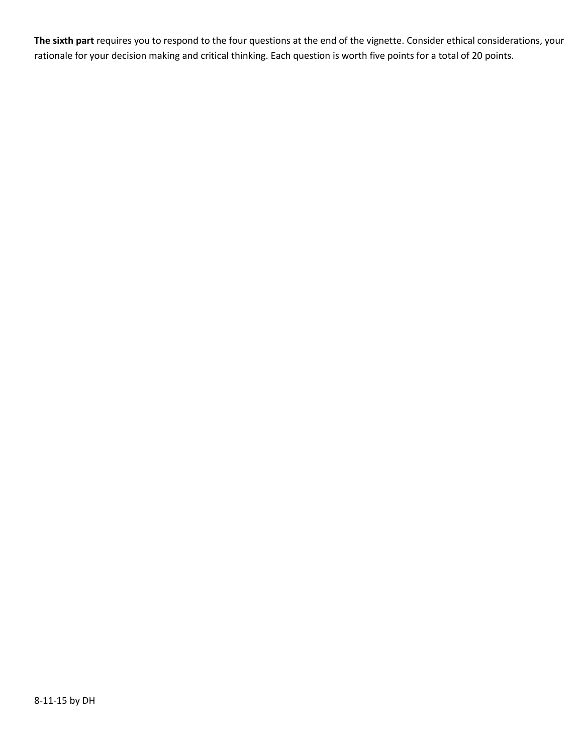**The sixth part** requires you to respond to the four questions at the end of the vignette. Consider ethical considerations, your rationale for your decision making and critical thinking. Each question is worth five points for a total of 20 points.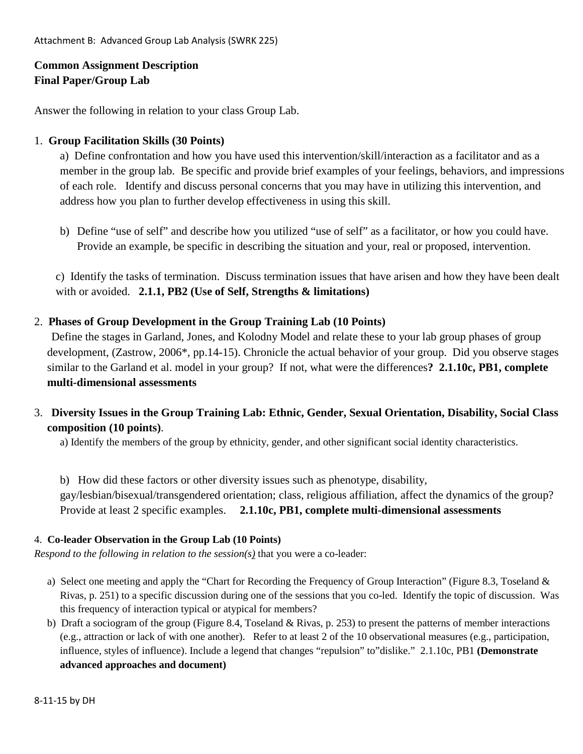# **Common Assignment Description Final Paper/Group Lab**

Answer the following in relation to your class Group Lab.

# 1. **Group Facilitation Skills (30 Points)**

a) Define confrontation and how you have used this intervention/skill/interaction as a facilitator and as a member in the group lab. Be specific and provide brief examples of your feelings, behaviors, and impressions of each role. Identify and discuss personal concerns that you may have in utilizing this intervention, and address how you plan to further develop effectiveness in using this skill.

b) Define "use of self" and describe how you utilized "use of self" as a facilitator, or how you could have. Provide an example, be specific in describing the situation and your, real or proposed, intervention.

c) Identify the tasks of termination. Discuss termination issues that have arisen and how they have been dealt with or avoided. **2.1.1, PB2 (Use of Self, Strengths & limitations)**

# 2. **Phases of Group Development in the Group Training Lab (10 Points)**

Define the stages in Garland, Jones, and Kolodny Model and relate these to your lab group phases of group development, (Zastrow, 2006\*, pp.14-15). Chronicle the actual behavior of your group. Did you observe stages similar to the Garland et al. model in your group? If not, what were the differences**? 2.1.10c, PB1, complete multi-dimensional assessments**

3. **Diversity Issues in the Group Training Lab: Ethnic, Gender, Sexual Orientation, Disability, Social Class composition (10 points)**.

a) Identify the members of the group by ethnicity, gender, and other significant social identity characteristics.

b) How did these factors or other diversity issues such as phenotype, disability, gay/lesbian/bisexual/transgendered orientation; class, religious affiliation, affect the dynamics of the group? Provide at least 2 specific examples. **2.1.10c, PB1, complete multi-dimensional assessments**

## 4. **Co-leader Observation in the Group Lab (10 Points)**

*Respond to the following in relation to the session(s)* that you were a co-leader:

- a) Select one meeting and apply the "Chart for Recording the Frequency of Group Interaction" (Figure 8.3, Toseland & Rivas, p. 251) to a specific discussion during one of the sessions that you co-led. Identify the topic of discussion. Was this frequency of interaction typical or atypical for members?
- b) Draft a sociogram of the group (Figure 8.4, Toseland & Rivas, p. 253) to present the patterns of member interactions (e.g., attraction or lack of with one another). Refer to at least 2 of the 10 observational measures (e.g., participation, influence, styles of influence). Include a legend that changes "repulsion" to"dislike." 2.1.10c, PB1 **(Demonstrate advanced approaches and document)**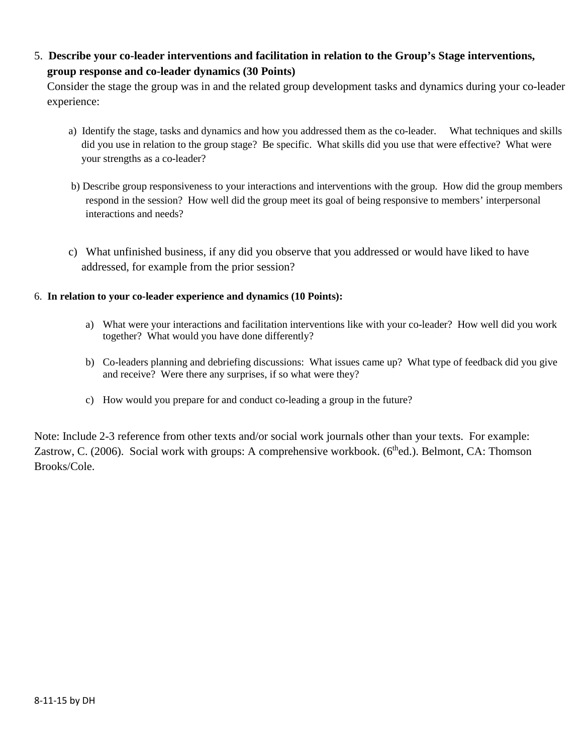5. **Describe your co-leader interventions and facilitation in relation to the Group's Stage interventions, group response and co-leader dynamics (30 Points)**

Consider the stage the group was in and the related group development tasks and dynamics during your co-leader experience:

- a) Identify the stage, tasks and dynamics and how you addressed them as the co-leader. What techniques and skills did you use in relation to the group stage? Be specific. What skills did you use that were effective? What were your strengths as a co-leader?
- b) Describe group responsiveness to your interactions and interventions with the group. How did the group members respond in the session? How well did the group meet its goal of being responsive to members' interpersonal interactions and needs?
- c) What unfinished business, if any did you observe that you addressed or would have liked to have addressed, for example from the prior session?

## 6. **In relation to your co-leader experience and dynamics (10 Points):**

- a) What were your interactions and facilitation interventions like with your co-leader? How well did you work together? What would you have done differently?
- b) Co-leaders planning and debriefing discussions: What issues came up? What type of feedback did you give and receive? Were there any surprises, if so what were they?
- c) How would you prepare for and conduct co-leading a group in the future?

Note: Include 2-3 reference from other texts and/or social work journals other than your texts. For example: Zastrow, C. (2006). Social work with groups: A comprehensive workbook. (6<sup>th</sup>ed.). Belmont, CA: Thomson Brooks/Cole.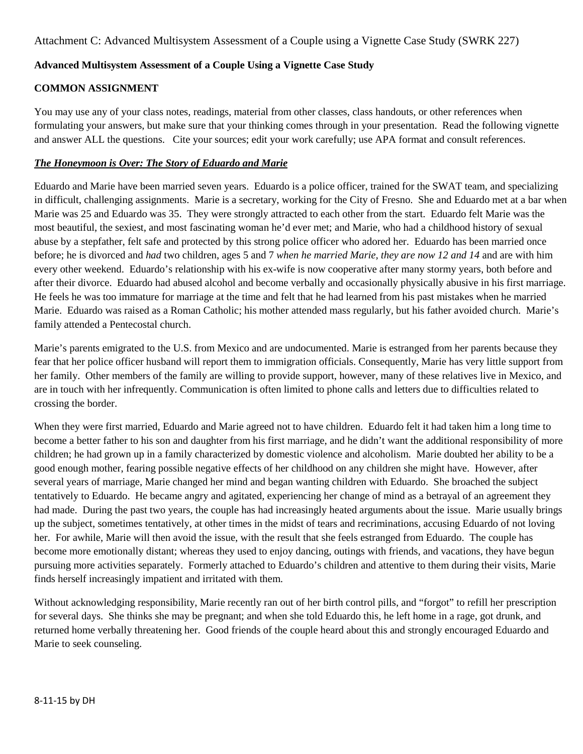# **Advanced Multisystem Assessment of a Couple Using a Vignette Case Study**

# **COMMON ASSIGNMENT**

You may use any of your class notes, readings, material from other classes, class handouts, or other references when formulating your answers, but make sure that your thinking comes through in your presentation. Read the following vignette and answer ALL the questions. Cite your sources; edit your work carefully; use APA format and consult references.

### *The Honeymoon is Over: The Story of Eduardo and Marie*

Eduardo and Marie have been married seven years. Eduardo is a police officer, trained for the SWAT team, and specializing in difficult, challenging assignments. Marie is a secretary, working for the City of Fresno. She and Eduardo met at a bar when Marie was 25 and Eduardo was 35. They were strongly attracted to each other from the start. Eduardo felt Marie was the most beautiful, the sexiest, and most fascinating woman he'd ever met; and Marie, who had a childhood history of sexual abuse by a stepfather, felt safe and protected by this strong police officer who adored her. Eduardo has been married once before; he is divorced and *had* two children, ages 5 and 7 *when he married Marie, they are now 12 and 14* and are with him every other weekend. Eduardo's relationship with his ex-wife is now cooperative after many stormy years, both before and after their divorce. Eduardo had abused alcohol and become verbally and occasionally physically abusive in his first marriage. He feels he was too immature for marriage at the time and felt that he had learned from his past mistakes when he married Marie. Eduardo was raised as a Roman Catholic; his mother attended mass regularly, but his father avoided church. Marie's family attended a Pentecostal church.

Marie's parents emigrated to the U.S. from Mexico and are undocumented. Marie is estranged from her parents because they fear that her police officer husband will report them to immigration officials. Consequently, Marie has very little support from her family. Other members of the family are willing to provide support, however, many of these relatives live in Mexico, and are in touch with her infrequently. Communication is often limited to phone calls and letters due to difficulties related to crossing the border.

When they were first married, Eduardo and Marie agreed not to have children. Eduardo felt it had taken him a long time to become a better father to his son and daughter from his first marriage, and he didn't want the additional responsibility of more children; he had grown up in a family characterized by domestic violence and alcoholism. Marie doubted her ability to be a good enough mother, fearing possible negative effects of her childhood on any children she might have. However, after several years of marriage, Marie changed her mind and began wanting children with Eduardo. She broached the subject tentatively to Eduardo. He became angry and agitated, experiencing her change of mind as a betrayal of an agreement they had made. During the past two years, the couple has had increasingly heated arguments about the issue. Marie usually brings up the subject, sometimes tentatively, at other times in the midst of tears and recriminations, accusing Eduardo of not loving her. For awhile, Marie will then avoid the issue, with the result that she feels estranged from Eduardo. The couple has become more emotionally distant; whereas they used to enjoy dancing, outings with friends, and vacations, they have begun pursuing more activities separately. Formerly attached to Eduardo's children and attentive to them during their visits, Marie finds herself increasingly impatient and irritated with them.

Without acknowledging responsibility, Marie recently ran out of her birth control pills, and "forgot" to refill her prescription for several days. She thinks she may be pregnant; and when she told Eduardo this, he left home in a rage, got drunk, and returned home verbally threatening her. Good friends of the couple heard about this and strongly encouraged Eduardo and Marie to seek counseling.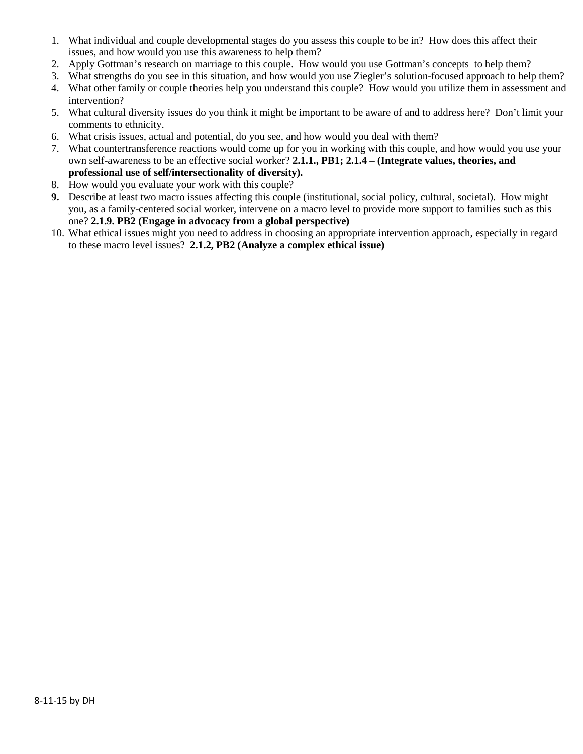- 1. What individual and couple developmental stages do you assess this couple to be in? How does this affect their issues, and how would you use this awareness to help them?
- 2. Apply Gottman's research on marriage to this couple. How would you use Gottman's concepts to help them?
- 3. What strengths do you see in this situation, and how would you use Ziegler's solution-focused approach to help them?
- 4. What other family or couple theories help you understand this couple? How would you utilize them in assessment and intervention?
- 5. What cultural diversity issues do you think it might be important to be aware of and to address here? Don't limit your comments to ethnicity.
- 6. What crisis issues, actual and potential, do you see, and how would you deal with them?
- 7. What countertransference reactions would come up for you in working with this couple, and how would you use your own self-awareness to be an effective social worker? **2.1.1., PB1; 2.1.4 – (Integrate values, theories, and professional use of self/intersectionality of diversity).**
- 8. How would you evaluate your work with this couple?
- **9.** Describe at least two macro issues affecting this couple (institutional, social policy, cultural, societal). How might you, as a family-centered social worker, intervene on a macro level to provide more support to families such as this one? **2.1.9. PB2 (Engage in advocacy from a global perspective)**
- 10. What ethical issues might you need to address in choosing an appropriate intervention approach, especially in regard to these macro level issues? **2.1.2, PB2 (Analyze a complex ethical issue)**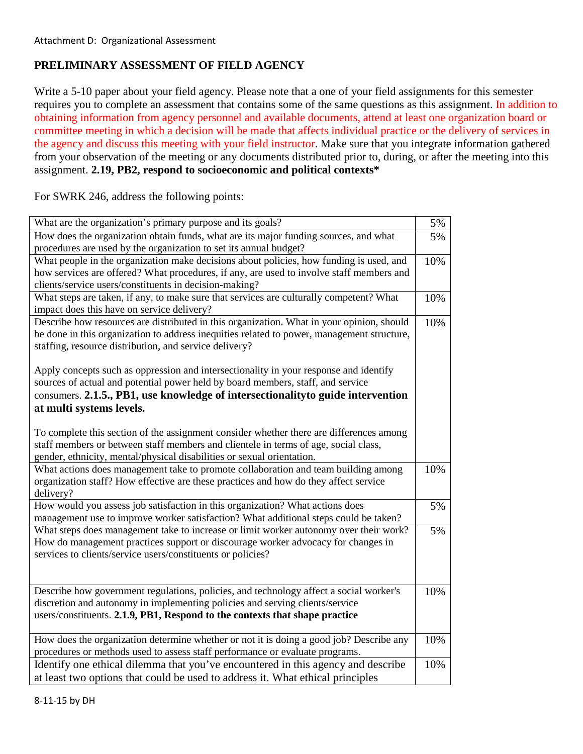# **PRELIMINARY ASSESSMENT OF FIELD AGENCY**

Write a 5-10 paper about your field agency. Please note that a one of your field assignments for this semester requires you to complete an assessment that contains some of the same questions as this assignment. In addition to obtaining information from agency personnel and available documents, attend at least one organization board or committee meeting in which a decision will be made that affects individual practice or the delivery of services in the agency and discuss this meeting with your field instructor. Make sure that you integrate information gathered from your observation of the meeting or any documents distributed prior to, during, or after the meeting into this assignment. **2.19, PB2, respond to socioeconomic and political contexts\*** 

For SWRK 246, address the following points:

| What are the organization's primary purpose and its goals?                                 | 5%  |
|--------------------------------------------------------------------------------------------|-----|
| How does the organization obtain funds, what are its major funding sources, and what       | 5%  |
| procedures are used by the organization to set its annual budget?                          |     |
| What people in the organization make decisions about policies, how funding is used, and    | 10% |
| how services are offered? What procedures, if any, are used to involve staff members and   |     |
| clients/service users/constituents in decision-making?                                     |     |
| What steps are taken, if any, to make sure that services are culturally competent? What    | 10% |
| impact does this have on service delivery?                                                 |     |
| Describe how resources are distributed in this organization. What in your opinion, should  | 10% |
| be done in this organization to address inequities related to power, management structure, |     |
| staffing, resource distribution, and service delivery?                                     |     |
|                                                                                            |     |
| Apply concepts such as oppression and intersectionality in your response and identify      |     |
| sources of actual and potential power held by board members, staff, and service            |     |
| consumers. 2.1.5., PB1, use knowledge of intersectionality to guide intervention           |     |
| at multi systems levels.                                                                   |     |
|                                                                                            |     |
| To complete this section of the assignment consider whether there are differences among    |     |
| staff members or between staff members and clientele in terms of age, social class,        |     |
| gender, ethnicity, mental/physical disabilities or sexual orientation.                     |     |
| What actions does management take to promote collaboration and team building among         | 10% |
| organization staff? How effective are these practices and how do they affect service       |     |
| delivery?                                                                                  |     |
| How would you assess job satisfaction in this organization? What actions does              | 5%  |
| management use to improve worker satisfaction? What additional steps could be taken?       |     |
| What steps does management take to increase or limit worker autonomy over their work?      | 5%  |
| How do management practices support or discourage worker advocacy for changes in           |     |
| services to clients/service users/constituents or policies?                                |     |
|                                                                                            |     |
| Describe how government regulations, policies, and technology affect a social worker's     | 10% |
| discretion and autonomy in implementing policies and serving clients/service               |     |
| users/constituents. 2.1.9, PB1, Respond to the contexts that shape practice                |     |
|                                                                                            |     |
| How does the organization determine whether or not it is doing a good job? Describe any    | 10% |
| procedures or methods used to assess staff performance or evaluate programs.               |     |
| Identify one ethical dilemma that you've encountered in this agency and describe           | 10% |
| at least two options that could be used to address it. What ethical principles             |     |
|                                                                                            |     |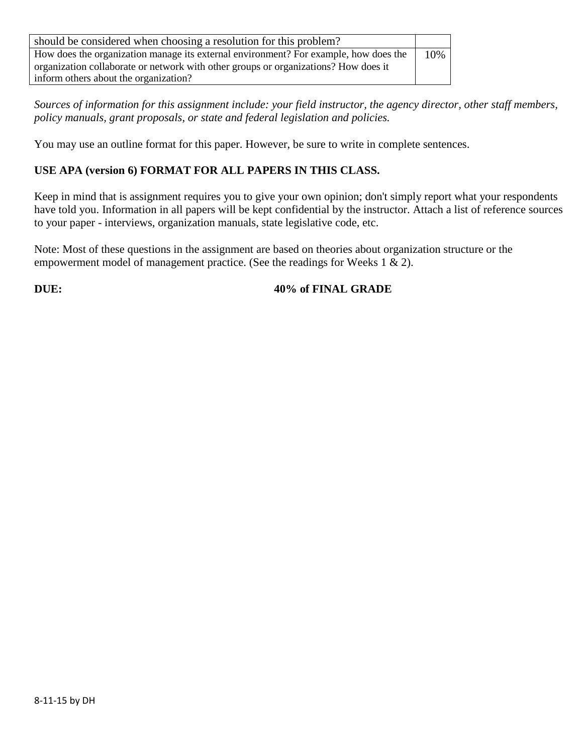| should be considered when choosing a resolution for this problem?                    |     |
|--------------------------------------------------------------------------------------|-----|
| How does the organization manage its external environment? For example, how does the | 10% |
| organization collaborate or network with other groups or organizations? How does it  |     |
| inform others about the organization?                                                |     |

*Sources of information for this assignment include: your field instructor, the agency director, other staff members, policy manuals, grant proposals, or state and federal legislation and policies.* 

You may use an outline format for this paper. However, be sure to write in complete sentences.

# **USE APA (version 6) FORMAT FOR ALL PAPERS IN THIS CLASS.**

Keep in mind that is assignment requires you to give your own opinion; don't simply report what your respondents have told you. Information in all papers will be kept confidential by the instructor. Attach a list of reference sources to your paper - interviews, organization manuals, state legislative code, etc.

Note: Most of these questions in the assignment are based on theories about organization structure or the empowerment model of management practice. (See the readings for Weeks 1 & 2).

**DUE:** 40% of FINAL GRADE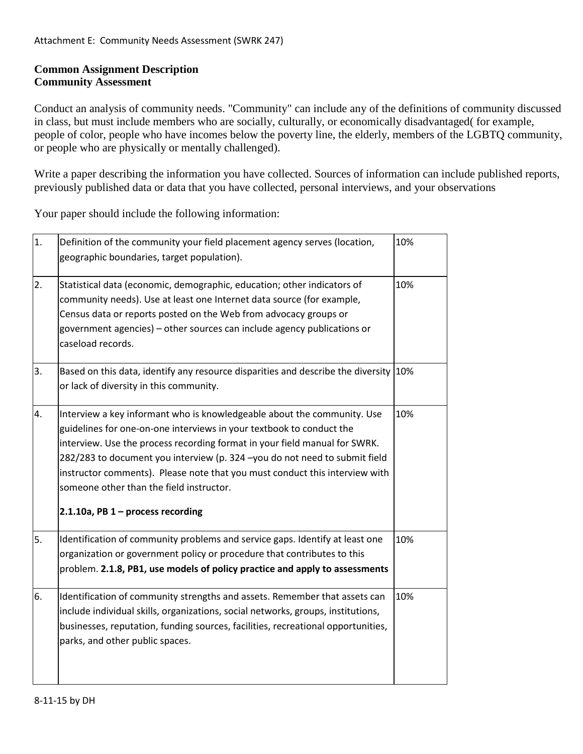# **Common Assignment Description Community Assessment**

Conduct an analysis of community needs. "Community" can include any of the definitions of community discussed in class, but must include members who are socially, culturally, or economically disadvantaged( for example, people of color, people who have incomes below the poverty line, the elderly, members of the LGBTQ community, or people who are physically or mentally challenged).

Write a paper describing the information you have collected. Sources of information can include published reports, previously published data or data that you have collected, personal interviews, and your observations

Your paper should include the following information:

| 1. | Definition of the community your field placement agency serves (location,<br>geographic boundaries, target population).                                                                                                                                                                                                                                                                                                                                                       | 10% |
|----|-------------------------------------------------------------------------------------------------------------------------------------------------------------------------------------------------------------------------------------------------------------------------------------------------------------------------------------------------------------------------------------------------------------------------------------------------------------------------------|-----|
| 2. | Statistical data (economic, demographic, education; other indicators of<br>community needs). Use at least one Internet data source (for example,<br>Census data or reports posted on the Web from advocacy groups or<br>government agencies) - other sources can include agency publications or<br>caseload records.                                                                                                                                                          | 10% |
| 3. | Based on this data, identify any resource disparities and describe the diversity 10%<br>or lack of diversity in this community.                                                                                                                                                                                                                                                                                                                                               |     |
| 4. | Interview a key informant who is knowledgeable about the community. Use<br>guidelines for one-on-one interviews in your textbook to conduct the<br>interview. Use the process recording format in your field manual for SWRK.<br>282/283 to document you interview (p. 324 -you do not need to submit field<br>instructor comments). Please note that you must conduct this interview with<br>someone other than the field instructor.<br>2.1.10a, PB $1$ – process recording | 10% |
| 5. | Identification of community problems and service gaps. Identify at least one<br>organization or government policy or procedure that contributes to this<br>problem. 2.1.8, PB1, use models of policy practice and apply to assessments                                                                                                                                                                                                                                        | 10% |
| 6. | Identification of community strengths and assets. Remember that assets can<br>include individual skills, organizations, social networks, groups, institutions,<br>businesses, reputation, funding sources, facilities, recreational opportunities,<br>parks, and other public spaces.                                                                                                                                                                                         | 10% |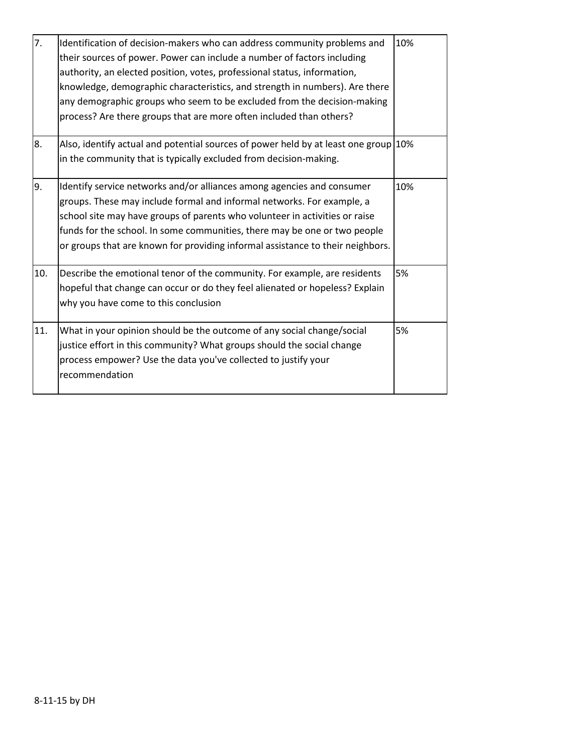| 7.  | Identification of decision-makers who can address community problems and<br>their sources of power. Power can include a number of factors including<br>authority, an elected position, votes, professional status, information,<br>knowledge, demographic characteristics, and strength in numbers). Are there<br>any demographic groups who seem to be excluded from the decision-making<br>process? Are there groups that are more often included than others? | 10% |
|-----|------------------------------------------------------------------------------------------------------------------------------------------------------------------------------------------------------------------------------------------------------------------------------------------------------------------------------------------------------------------------------------------------------------------------------------------------------------------|-----|
| 8.  | Also, identify actual and potential sources of power held by at least one group 10%<br>in the community that is typically excluded from decision-making.                                                                                                                                                                                                                                                                                                         |     |
| 9.  | Identify service networks and/or alliances among agencies and consumer<br>groups. These may include formal and informal networks. For example, a<br>school site may have groups of parents who volunteer in activities or raise<br>funds for the school. In some communities, there may be one or two people<br>or groups that are known for providing informal assistance to their neighbors.                                                                   | 10% |
| 10. | Describe the emotional tenor of the community. For example, are residents<br>hopeful that change can occur or do they feel alienated or hopeless? Explain<br>why you have come to this conclusion                                                                                                                                                                                                                                                                | 5%  |
| 11. | What in your opinion should be the outcome of any social change/social<br>justice effort in this community? What groups should the social change<br>process empower? Use the data you've collected to justify your<br>recommendation                                                                                                                                                                                                                             | 5%  |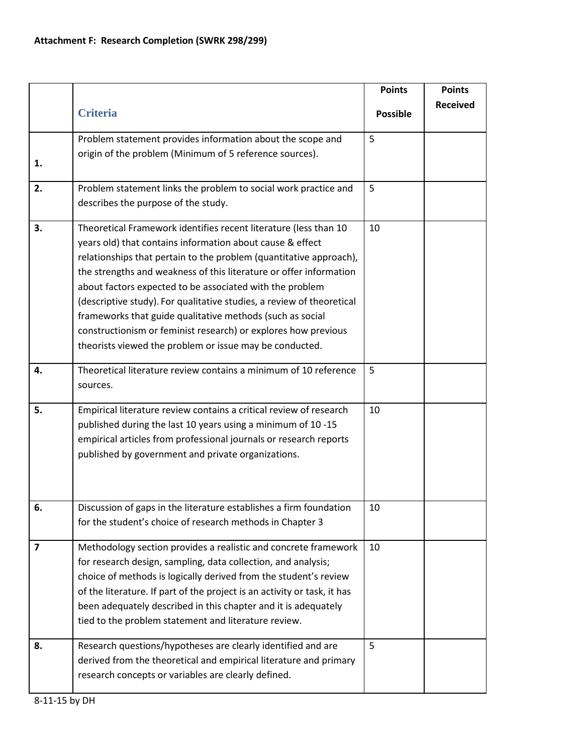|                         |                                                                          | <b>Points</b>   | <b>Points</b>   |
|-------------------------|--------------------------------------------------------------------------|-----------------|-----------------|
|                         |                                                                          |                 | <b>Received</b> |
|                         | <b>Criteria</b>                                                          | <b>Possible</b> |                 |
|                         | Problem statement provides information about the scope and               | 5               |                 |
|                         | origin of the problem (Minimum of 5 reference sources).                  |                 |                 |
| 1.                      |                                                                          |                 |                 |
| 2.                      | Problem statement links the problem to social work practice and          | 5               |                 |
|                         | describes the purpose of the study.                                      |                 |                 |
| 3.                      | Theoretical Framework identifies recent literature (less than 10         | 10              |                 |
|                         | years old) that contains information about cause & effect                |                 |                 |
|                         | relationships that pertain to the problem (quantitative approach),       |                 |                 |
|                         | the strengths and weakness of this literature or offer information       |                 |                 |
|                         | about factors expected to be associated with the problem                 |                 |                 |
|                         | (descriptive study). For qualitative studies, a review of theoretical    |                 |                 |
|                         | frameworks that guide qualitative methods (such as social                |                 |                 |
|                         | constructionism or feminist research) or explores how previous           |                 |                 |
|                         | theorists viewed the problem or issue may be conducted.                  |                 |                 |
| 4.                      | Theoretical literature review contains a minimum of 10 reference         | 5               |                 |
|                         | sources.                                                                 |                 |                 |
| 5.                      | Empirical literature review contains a critical review of research       | 10              |                 |
|                         | published during the last 10 years using a minimum of 10 -15             |                 |                 |
|                         | empirical articles from professional journals or research reports        |                 |                 |
|                         | published by government and private organizations.                       |                 |                 |
|                         |                                                                          |                 |                 |
|                         |                                                                          |                 |                 |
|                         |                                                                          |                 |                 |
| 6.                      | Discussion of gaps in the literature establishes a firm foundation       | 10              |                 |
|                         | for the student's choice of research methods in Chapter 3                |                 |                 |
| $\overline{\mathbf{z}}$ | Methodology section provides a realistic and concrete framework          | 10              |                 |
|                         | for research design, sampling, data collection, and analysis;            |                 |                 |
|                         | choice of methods is logically derived from the student's review         |                 |                 |
|                         | of the literature. If part of the project is an activity or task, it has |                 |                 |
|                         | been adequately described in this chapter and it is adequately           |                 |                 |
|                         | tied to the problem statement and literature review.                     |                 |                 |
| 8.                      | Research questions/hypotheses are clearly identified and are             | 5               |                 |
|                         | derived from the theoretical and empirical literature and primary        |                 |                 |
|                         | research concepts or variables are clearly defined.                      |                 |                 |
|                         |                                                                          |                 |                 |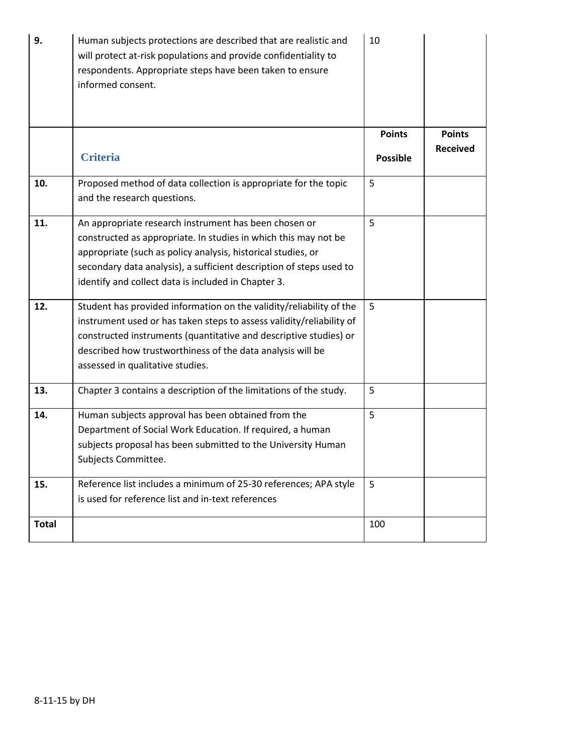| 9.           | Human subjects protections are described that are realistic and<br>will protect at-risk populations and provide confidentiality to<br>respondents. Appropriate steps have been taken to ensure<br>informed consent.                                                                                                    | 10              |                 |
|--------------|------------------------------------------------------------------------------------------------------------------------------------------------------------------------------------------------------------------------------------------------------------------------------------------------------------------------|-----------------|-----------------|
|              |                                                                                                                                                                                                                                                                                                                        | <b>Points</b>   | <b>Points</b>   |
|              | <b>Criteria</b>                                                                                                                                                                                                                                                                                                        | <b>Possible</b> | <b>Received</b> |
| 10.          | Proposed method of data collection is appropriate for the topic<br>and the research questions.                                                                                                                                                                                                                         | 5               |                 |
| 11.          | An appropriate research instrument has been chosen or<br>constructed as appropriate. In studies in which this may not be<br>appropriate (such as policy analysis, historical studies, or<br>secondary data analysis), a sufficient description of steps used to<br>identify and collect data is included in Chapter 3. | 5               |                 |
| 12.          | Student has provided information on the validity/reliability of the<br>instrument used or has taken steps to assess validity/reliability of<br>constructed instruments (quantitative and descriptive studies) or<br>described how trustworthiness of the data analysis will be<br>assessed in qualitative studies.     | 5               |                 |
| 13.          | Chapter 3 contains a description of the limitations of the study.                                                                                                                                                                                                                                                      | 5               |                 |
| 14.          | Human subjects approval has been obtained from the<br>Department of Social Work Education. If required, a human<br>subjects proposal has been submitted to the University Human<br>Subjects Committee.                                                                                                                 | 5               |                 |
| 15.          | Reference list includes a minimum of 25-30 references; APA style<br>is used for reference list and in-text references                                                                                                                                                                                                  | 5               |                 |
| <b>Total</b> |                                                                                                                                                                                                                                                                                                                        | 100             |                 |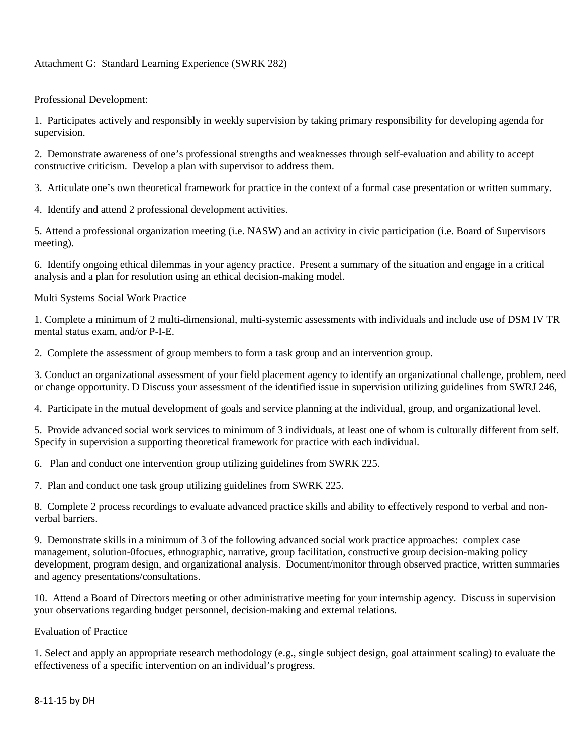### Attachment G: Standard Learning Experience (SWRK 282)

Professional Development:

1. Participates actively and responsibly in weekly supervision by taking primary responsibility for developing agenda for supervision.

2. Demonstrate awareness of one's professional strengths and weaknesses through self-evaluation and ability to accept constructive criticism. Develop a plan with supervisor to address them.

3. Articulate one's own theoretical framework for practice in the context of a formal case presentation or written summary.

4. Identify and attend 2 professional development activities.

5. Attend a professional organization meeting (i.e. NASW) and an activity in civic participation (i.e. Board of Supervisors meeting).

6. Identify ongoing ethical dilemmas in your agency practice. Present a summary of the situation and engage in a critical analysis and a plan for resolution using an ethical decision-making model.

Multi Systems Social Work Practice

1. Complete a minimum of 2 multi-dimensional, multi-systemic assessments with individuals and include use of DSM IV TR mental status exam, and/or P-I-E.

2. Complete the assessment of group members to form a task group and an intervention group.

3. Conduct an organizational assessment of your field placement agency to identify an organizational challenge, problem, need or change opportunity. D Discuss your assessment of the identified issue in supervision utilizing guidelines from SWRJ 246,

4. Participate in the mutual development of goals and service planning at the individual, group, and organizational level.

5. Provide advanced social work services to minimum of 3 individuals, at least one of whom is culturally different from self. Specify in supervision a supporting theoretical framework for practice with each individual.

6. Plan and conduct one intervention group utilizing guidelines from SWRK 225.

7. Plan and conduct one task group utilizing guidelines from SWRK 225.

8. Complete 2 process recordings to evaluate advanced practice skills and ability to effectively respond to verbal and nonverbal barriers.

9. Demonstrate skills in a minimum of 3 of the following advanced social work practice approaches: complex case management, solution-0focues, ethnographic, narrative, group facilitation, constructive group decision-making policy development, program design, and organizational analysis. Document/monitor through observed practice, written summaries and agency presentations/consultations.

10. Attend a Board of Directors meeting or other administrative meeting for your internship agency. Discuss in supervision your observations regarding budget personnel, decision-making and external relations.

Evaluation of Practice

1. Select and apply an appropriate research methodology (e.g., single subject design, goal attainment scaling) to evaluate the effectiveness of a specific intervention on an individual's progress.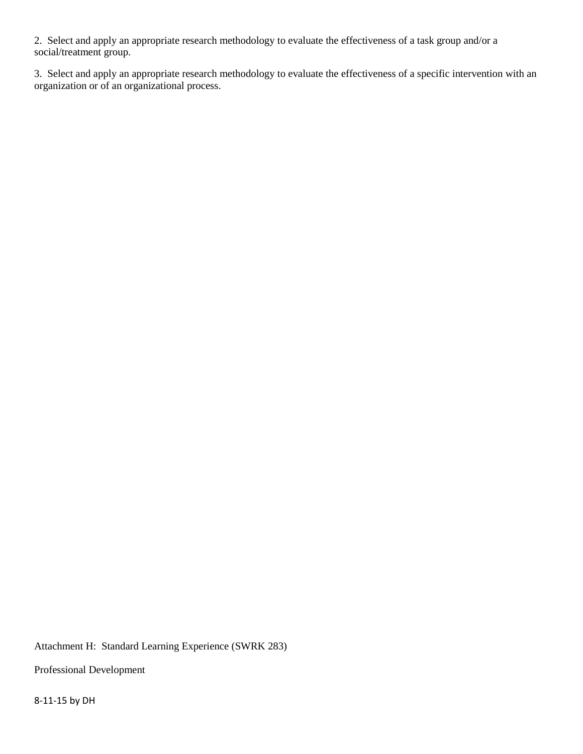2. Select and apply an appropriate research methodology to evaluate the effectiveness of a task group and/or a social/treatment group.

3. Select and apply an appropriate research methodology to evaluate the effectiveness of a specific intervention with an organization or of an organizational process.

Attachment H: Standard Learning Experience (SWRK 283)

Professional Development

8-11-15 by DH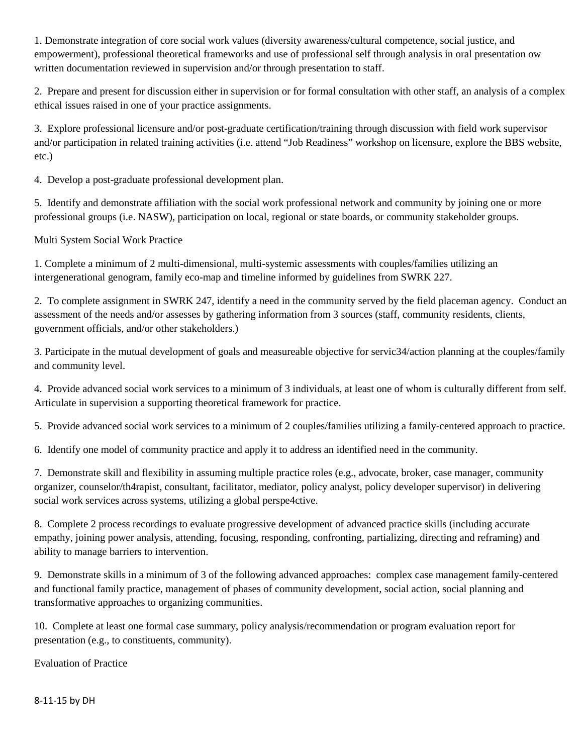1. Demonstrate integration of core social work values (diversity awareness/cultural competence, social justice, and empowerment), professional theoretical frameworks and use of professional self through analysis in oral presentation ow written documentation reviewed in supervision and/or through presentation to staff.

2. Prepare and present for discussion either in supervision or for formal consultation with other staff, an analysis of a complex ethical issues raised in one of your practice assignments.

3. Explore professional licensure and/or post-graduate certification/training through discussion with field work supervisor and/or participation in related training activities (i.e. attend "Job Readiness" workshop on licensure, explore the BBS website, etc.)

4. Develop a post-graduate professional development plan.

5. Identify and demonstrate affiliation with the social work professional network and community by joining one or more professional groups (i.e. NASW), participation on local, regional or state boards, or community stakeholder groups.

Multi System Social Work Practice

1. Complete a minimum of 2 multi-dimensional, multi-systemic assessments with couples/families utilizing an intergenerational genogram, family eco-map and timeline informed by guidelines from SWRK 227.

2. To complete assignment in SWRK 247, identify a need in the community served by the field placeman agency. Conduct an assessment of the needs and/or assesses by gathering information from 3 sources (staff, community residents, clients, government officials, and/or other stakeholders.)

3. Participate in the mutual development of goals and measureable objective for servic34/action planning at the couples/family and community level.

4. Provide advanced social work services to a minimum of 3 individuals, at least one of whom is culturally different from self. Articulate in supervision a supporting theoretical framework for practice.

5. Provide advanced social work services to a minimum of 2 couples/families utilizing a family-centered approach to practice.

6. Identify one model of community practice and apply it to address an identified need in the community.

7. Demonstrate skill and flexibility in assuming multiple practice roles (e.g., advocate, broker, case manager, community organizer, counselor/th4rapist, consultant, facilitator, mediator, policy analyst, policy developer supervisor) in delivering social work services across systems, utilizing a global perspe4ctive.

8. Complete 2 process recordings to evaluate progressive development of advanced practice skills (including accurate empathy, joining power analysis, attending, focusing, responding, confronting, partializing, directing and reframing) and ability to manage barriers to intervention.

9. Demonstrate skills in a minimum of 3 of the following advanced approaches: complex case management family-centered and functional family practice, management of phases of community development, social action, social planning and transformative approaches to organizing communities.

10. Complete at least one formal case summary, policy analysis/recommendation or program evaluation report for presentation (e.g., to constituents, community).

Evaluation of Practice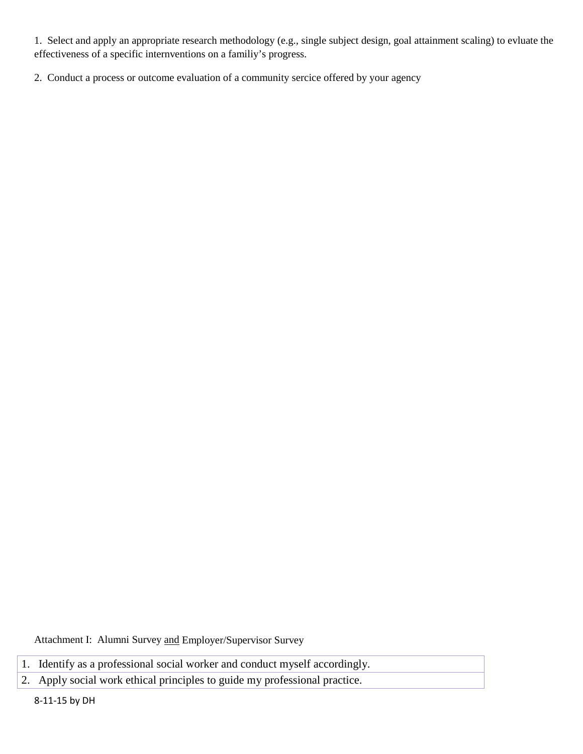1. Select and apply an appropriate research methodology (e.g., single subject design, goal attainment scaling) to evluate the effectiveness of a specific internventions on a familiy's progress.

2. Conduct a process or outcome evaluation of a community sercice offered by your agency

Attachment I: Alumni Survey and Employer/Supervisor Survey

- 1. Identify as a professional social worker and conduct myself accordingly.
- 2. Apply social work ethical principles to guide my professional practice.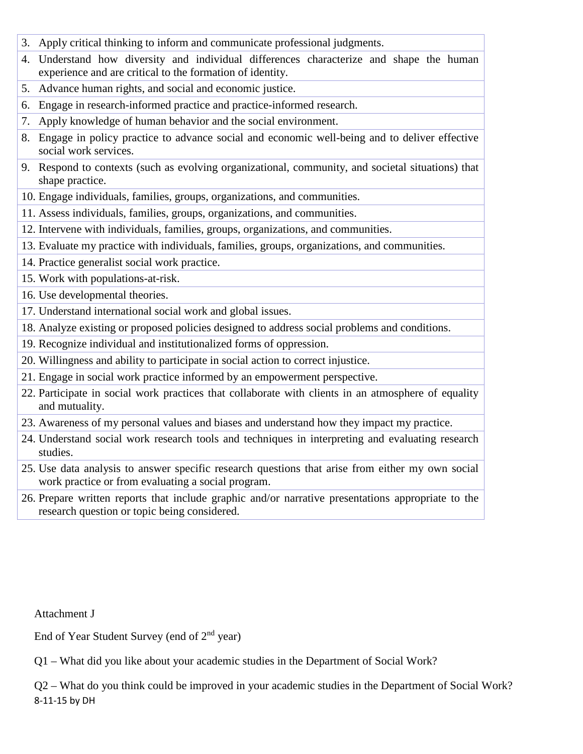- 3. Apply critical thinking to inform and communicate professional judgments.
- 4. Understand how diversity and individual differences characterize and shape the human experience and are critical to the formation of identity.
- 5. Advance human rights, and social and economic justice.
- 6. Engage in research-informed practice and practice-informed research.
- 7. Apply knowledge of human behavior and the social environment.
- 8. Engage in policy practice to advance social and economic well-being and to deliver effective social work services.
- 9. Respond to contexts (such as evolving organizational, community, and societal situations) that shape practice.
- 10. Engage individuals, families, groups, organizations, and communities.
- 11. Assess individuals, families, groups, organizations, and communities.
- 12. Intervene with individuals, families, groups, organizations, and communities.
- 13. Evaluate my practice with individuals, families, groups, organizations, and communities.
- 14. Practice generalist social work practice.
- 15. Work with populations-at-risk.
- 16. Use developmental theories.
- 17. Understand international social work and global issues.
- 18. Analyze existing or proposed policies designed to address social problems and conditions.
- 19. Recognize individual and institutionalized forms of oppression.
- 20. Willingness and ability to participate in social action to correct injustice.
- 21. Engage in social work practice informed by an empowerment perspective.
- 22. Participate in social work practices that collaborate with clients in an atmosphere of equality and mutuality.
- 23. Awareness of my personal values and biases and understand how they impact my practice.
- 24. Understand social work research tools and techniques in interpreting and evaluating research studies.
- 25. Use data analysis to answer specific research questions that arise from either my own social work practice or from evaluating a social program.
- 26. Prepare written reports that include graphic and/or narrative presentations appropriate to the research question or topic being considered.

Attachment J

End of Year Student Survey (end of  $2<sup>nd</sup>$  year)

Q1 – What did you like about your academic studies in the Department of Social Work?

Q2 – What do you think could be improved in your academic studies in the Department of Social Work? 8-11-15 by DH